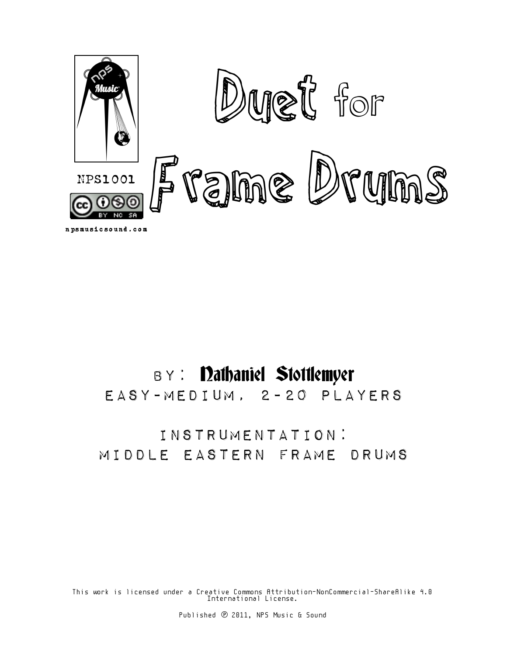

## BY: Dathaniel Stottlemyer Easy-Medium, 2-20 Players

## Instrumentation: Middle Eastern Frame Drums

This work is licensed under a Creative Commons Attribution-NonCommercial-ShareAlike 4.0 International License.

Published ℗ 2011, NPS Music & Sound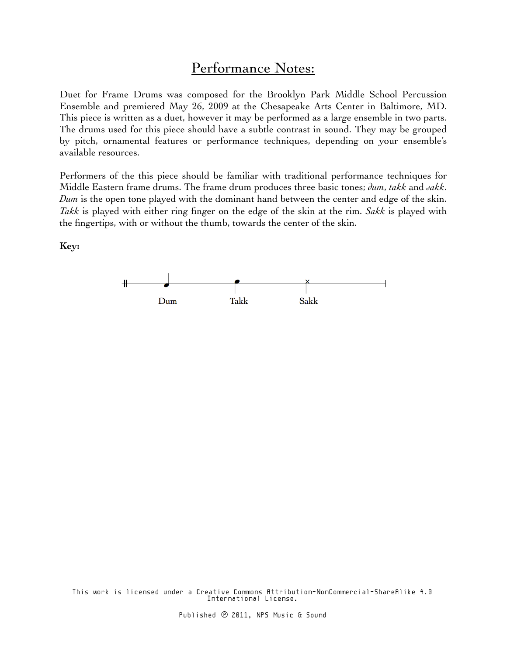## Performance Notes:

Duet for Frame Drums was composed for the Brooklyn Park Middle School Percussion Ensemble and premiered May 26, 2009 at the Chesapeake Arts Center in Baltimore, MD. This piece is written as a duet, however it may be performed as a large ensemble in two parts. The drums used for this piece should have a subtle contrast in sound. They may be grouped by pitch, ornamental features or performance techniques, depending on your ensemble's available resources.

Performers of the this piece should be familiar with traditional performance techniques for Middle Eastern frame drums. The frame drum produces three basic tones; *dum*, *takk* and *sakk*. *Dum* is the open tone played with the dominant hand between the center and edge of the skin. *Takk* is played with either ring finger on the edge of the skin at the rim. *Sakk* is played with the fingertips, with or without the thumb, towards the center of the skin.

**Key:**



This work is licensed under a Creative Commons Attribution-NonCommercial-ShareAlike 4.0 International License.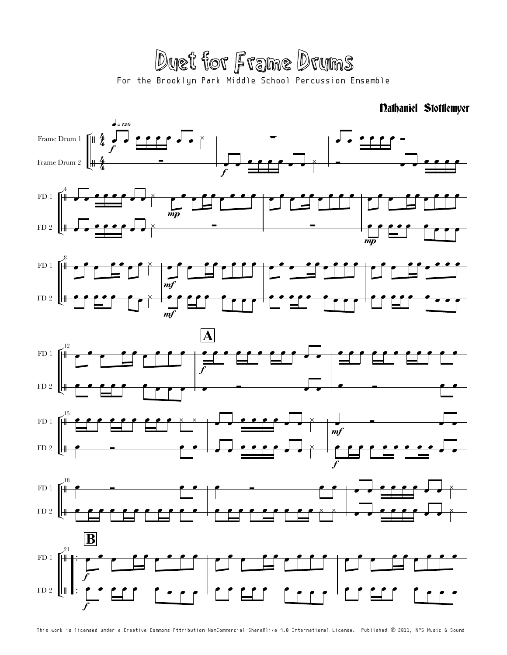Duet for Frame Drums For the Brooklyn Park Middle School Percussion Ensemble

## Dathaniel Stottlemyer



This work is licensed under a Creative Commons Attribution-NonCommercial-ShareAlike 4.0 International License. Published @ 2011, NPS Music & Sound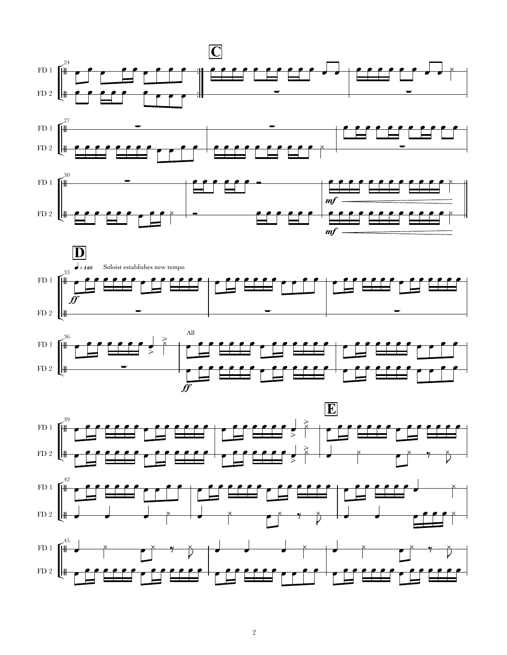